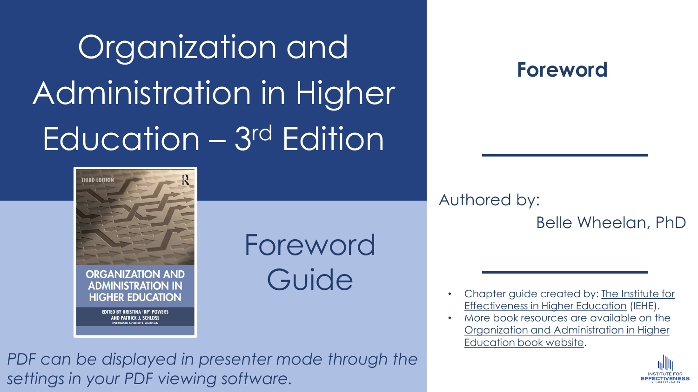# Organization and Administration in Higher Education – 3rd Edition



### **THIRD EDITION ORGANIZATION AND ADMINISTRATION IN HIGHER EDUCATION EDITED BY KRISTINA 'KP' POWERS AND PATRICK J. SCHLOSS**

Foreword Guide

*PDF can be displayed in presenter mode through the settings in your PDF viewing software.* 

Authored by: Belle Wheelan, PhD

- [Chapter guide created by: The Institute for](https://instituteforeffectiveness.org/)  Effectiveness in Higher Education (IEHE).
- <u>Jrganization</u><br>Education b • More book resources are available on the [Organization and Administration in Higher](https://instituteforeffectiveness.org/organization-and-administration-of-higher-education/)  Education book website.

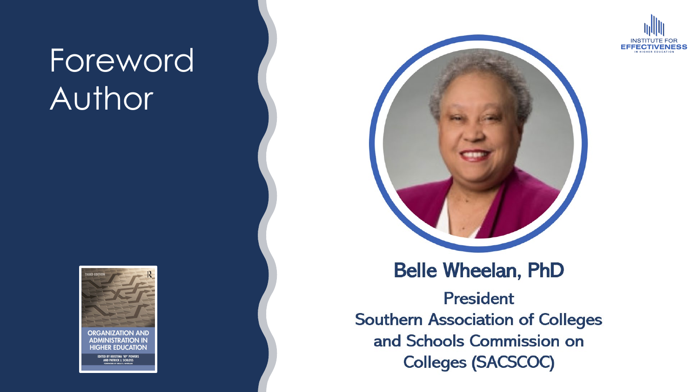## Foreword Author



ITED BY KRISTINA 'KP' POWI<br>AND PATRICK J. SCHLOSS



### **Belle Wheelan, PhD**

**President Southern Association of Colleges** and Schools Commission on **Colleges (SACSCOC)** 

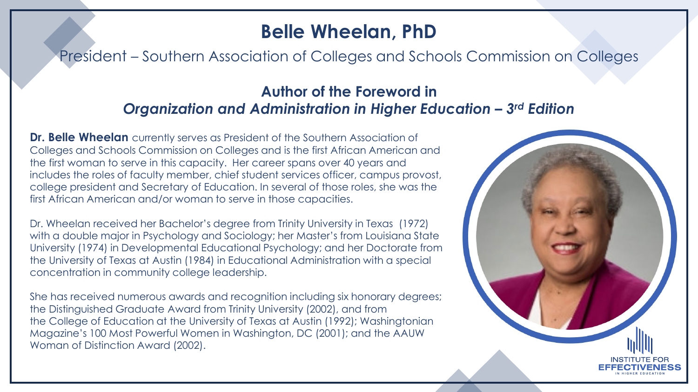#### **Belle Wheelan, PhD**

President – Southern Association of Colleges and Schools Commission on Colleges

#### **Author of the Foreword in**  *Organization and Administration in Higher Education – 3rd Edition*

**Dr. Belle Wheelan** currently serves as President of the Southern Association of Colleges and Schools Commission on Colleges and is the first African American and the first woman to serve in this capacity. Her career spans over 40 years and includes the roles of faculty member, chief student services officer, campus provost, college president and Secretary of Education. In several of those roles, she was the first African American and/or woman to serve in those capacities.

Dr. Wheelan received her Bachelor's degree from Trinity University in Texas (1972) with a double major in Psychology and Sociology; her Master's from Louisiana State University (1974) in Developmental Educational Psychology; and her Doctorate from the University of Texas at Austin (1984) in Educational Administration with a special concentration in community college leadership.

She has received numerous awards and recognition including six honorary degrees; the Distinguished Graduate Award from Trinity University (2002), and from the College of Education at the University of Texas at Austin (1992); Washingtonian Magazine's 100 Most Powerful Women in Washington, DC (2001); and the AAUW Woman of Distinction Award (2002).

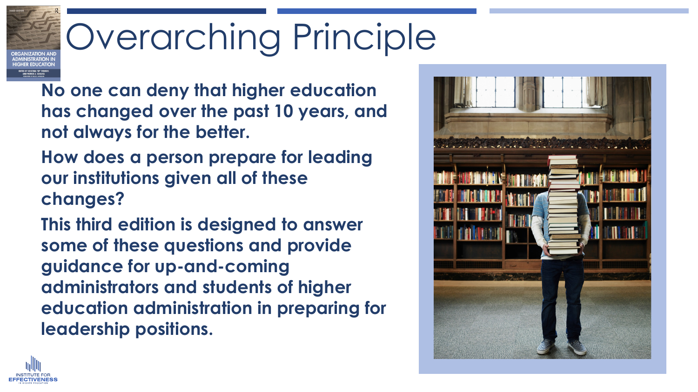# Overarching Principle

**No one can deny that higher education has changed over the past 10 years, and not always for the better.** 

**How does a person prepare for leading our institutions given all of these changes?** 

**This third edition is designed to answer some of these questions and provide guidance for up-and-coming administrators and students of higher education administration in preparing for leadership positions.** 



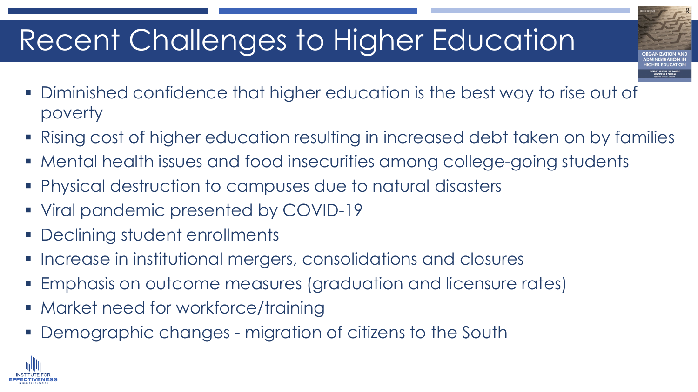## Recent Challenges to Higher Education

- Diminished confidence that higher education is the best way to rise out of poverty
- Rising cost of higher education resulting in increased debt taken on by families
- Mental health issues and food insecurities among college-going students
- Physical destruction to campuses due to natural disasters
- Viral pandemic presented by COVID-19
- **Declining student enrollments**
- **Increase in institutional mergers, consolidations and closures**
- Emphasis on outcome measures (graduation and licensure rates)
- **Market need for workforce/training**
- **Demographic changes migration of citizens to the South**